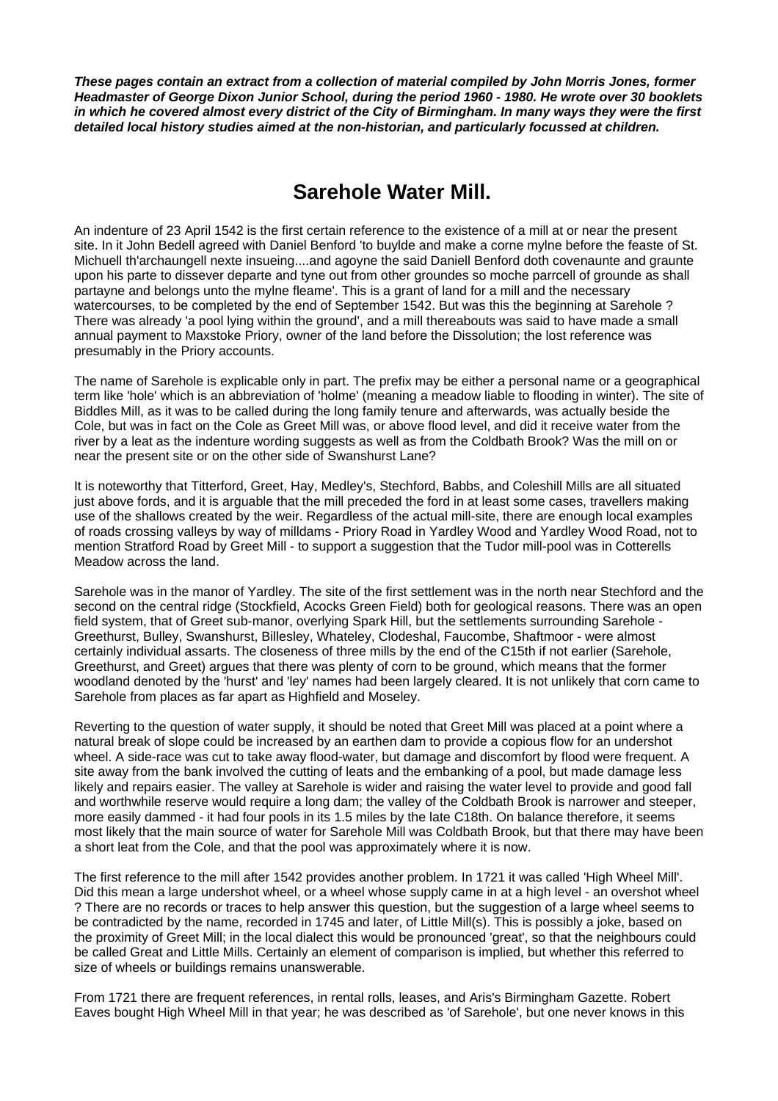*These pages contain an extract from a collection of material compiled by John Morris Jones, former Headmaster of George Dixon Junior School, during the period 1960 - 1980. He wrote over 30 booklets in which he covered almost every district of the City of Birmingham. In many ways they were the first detailed local history studies aimed at the non-historian, and particularly focussed at children.* 

## **Sarehole Water Mill.**

An indenture of 23 April 1542 is the first certain reference to the existence of a mill at or near the present site. In it John Bedell agreed with Daniel Benford 'to buylde and make a corne mylne before the feaste of St. Michuell th'archaungell nexte insueing....and agoyne the said Daniell Benford doth covenaunte and graunte upon his parte to dissever departe and tyne out from other groundes so moche parrcell of grounde as shall partayne and belongs unto the mylne fleame'. This is a grant of land for a mill and the necessary watercourses, to be completed by the end of September 1542. But was this the beginning at Sarehole ? There was already 'a pool lying within the ground', and a mill thereabouts was said to have made a small annual payment to Maxstoke Priory, owner of the land before the Dissolution; the lost reference was presumably in the Priory accounts.

The name of Sarehole is explicable only in part. The prefix may be either a personal name or a geographical term like 'hole' which is an abbreviation of 'holme' (meaning a meadow liable to flooding in winter). The site of Biddles Mill, as it was to be called during the long family tenure and afterwards, was actually beside the Cole, but was in fact on the Cole as Greet Mill was, or above flood level, and did it receive water from the river by a leat as the indenture wording suggests as well as from the Coldbath Brook? Was the mill on or near the present site or on the other side of Swanshurst Lane?

It is noteworthy that Titterford, Greet, Hay, Medley's, Stechford, Babbs, and Coleshill Mills are all situated just above fords, and it is arguable that the mill preceded the ford in at least some cases, travellers making use of the shallows created by the weir. Regardless of the actual mill-site, there are enough local examples of roads crossing valleys by way of milldams - Priory Road in Yardley Wood and Yardley Wood Road, not to mention Stratford Road by Greet Mill - to support a suggestion that the Tudor mill-pool was in Cotterells Meadow across the land.

Sarehole was in the manor of Yardley. The site of the first settlement was in the north near Stechford and the second on the central ridge (Stockfield, Acocks Green Field) both for geological reasons. There was an open field system, that of Greet sub-manor, overlying Spark Hill, but the settlements surrounding Sarehole - Greethurst, Bulley, Swanshurst, Billesley, Whateley, Clodeshal, Faucombe, Shaftmoor - were almost certainly individual assarts. The closeness of three mills by the end of the C15th if not earlier (Sarehole, Greethurst, and Greet) argues that there was plenty of corn to be ground, which means that the former woodland denoted by the 'hurst' and 'ley' names had been largely cleared. It is not unlikely that corn came to Sarehole from places as far apart as Highfield and Moseley.

Reverting to the question of water supply, it should be noted that Greet Mill was placed at a point where a natural break of slope could be increased by an earthen dam to provide a copious flow for an undershot wheel. A side-race was cut to take away flood-water, but damage and discomfort by flood were frequent. A site away from the bank involved the cutting of leats and the embanking of a pool, but made damage less likely and repairs easier. The valley at Sarehole is wider and raising the water level to provide and good fall and worthwhile reserve would require a long dam; the valley of the Coldbath Brook is narrower and steeper, more easily dammed - it had four pools in its 1.5 miles by the late C18th. On balance therefore, it seems most likely that the main source of water for Sarehole Mill was Coldbath Brook, but that there may have been a short leat from the Cole, and that the pool was approximately where it is now.

The first reference to the mill after 1542 provides another problem. In 1721 it was called 'High Wheel Mill'. Did this mean a large undershot wheel, or a wheel whose supply came in at a high level - an overshot wheel ? There are no records or traces to help answer this question, but the suggestion of a large wheel seems to be contradicted by the name, recorded in 1745 and later, of Little Mill(s). This is possibly a joke, based on the proximity of Greet Mill; in the local dialect this would be pronounced 'great', so that the neighbours could be called Great and Little Mills. Certainly an element of comparison is implied, but whether this referred to size of wheels or buildings remains unanswerable.

From 1721 there are frequent references, in rental rolls, leases, and Aris's Birmingham Gazette. Robert Eaves bought High Wheel Mill in that year; he was described as 'of Sarehole', but one never knows in this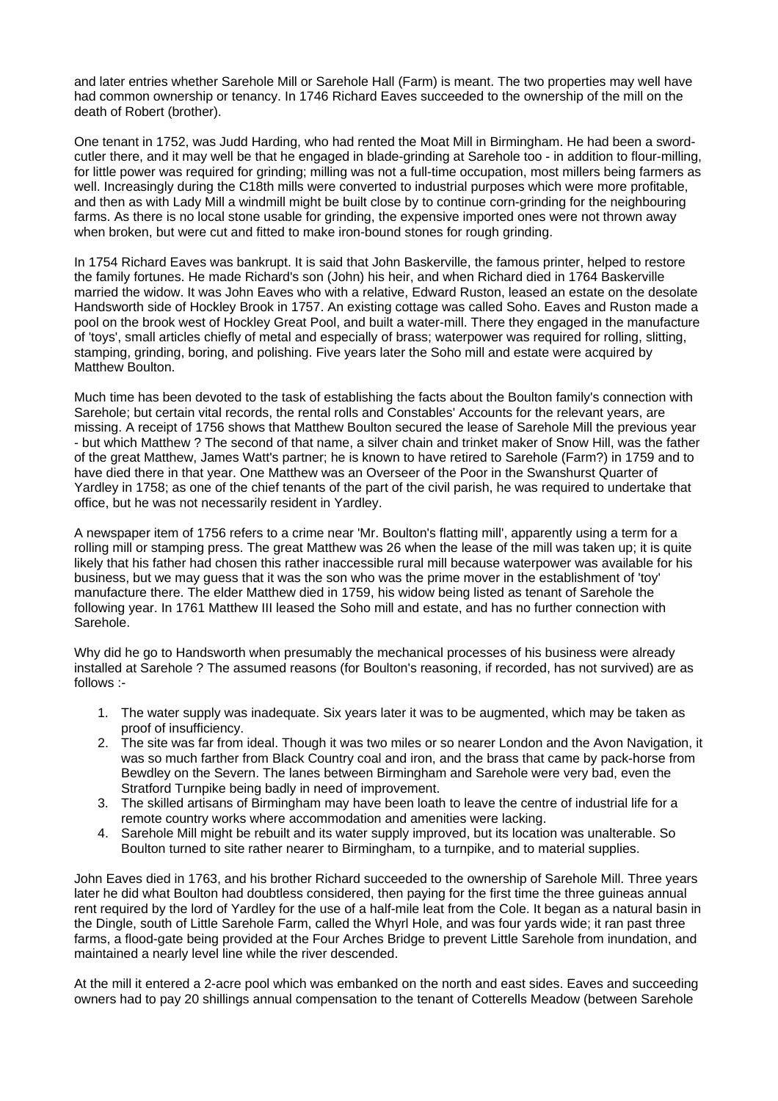and later entries whether Sarehole Mill or Sarehole Hall (Farm) is meant. The two properties may well have had common ownership or tenancy. In 1746 Richard Eaves succeeded to the ownership of the mill on the death of Robert (brother).

One tenant in 1752, was Judd Harding, who had rented the Moat Mill in Birmingham. He had been a swordcutler there, and it may well be that he engaged in blade-grinding at Sarehole too - in addition to flour-milling, for little power was required for grinding; milling was not a full-time occupation, most millers being farmers as well. Increasingly during the C18th mills were converted to industrial purposes which were more profitable, and then as with Lady Mill a windmill might be built close by to continue corn-grinding for the neighbouring farms. As there is no local stone usable for grinding, the expensive imported ones were not thrown away when broken, but were cut and fitted to make iron-bound stones for rough grinding.

In 1754 Richard Eaves was bankrupt. It is said that John Baskerville, the famous printer, helped to restore the family fortunes. He made Richard's son (John) his heir, and when Richard died in 1764 Baskerville married the widow. It was John Eaves who with a relative, Edward Ruston, leased an estate on the desolate Handsworth side of Hockley Brook in 1757. An existing cottage was called Soho. Eaves and Ruston made a pool on the brook west of Hockley Great Pool, and built a water-mill. There they engaged in the manufacture of 'toys', small articles chiefly of metal and especially of brass; waterpower was required for rolling, slitting, stamping, grinding, boring, and polishing. Five years later the Soho mill and estate were acquired by Matthew Boulton.

Much time has been devoted to the task of establishing the facts about the Boulton family's connection with Sarehole; but certain vital records, the rental rolls and Constables' Accounts for the relevant years, are missing. A receipt of 1756 shows that Matthew Boulton secured the lease of Sarehole Mill the previous year - but which Matthew ? The second of that name, a silver chain and trinket maker of Snow Hill, was the father of the great Matthew, James Watt's partner; he is known to have retired to Sarehole (Farm?) in 1759 and to have died there in that year. One Matthew was an Overseer of the Poor in the Swanshurst Quarter of Yardley in 1758; as one of the chief tenants of the part of the civil parish, he was required to undertake that office, but he was not necessarily resident in Yardley.

A newspaper item of 1756 refers to a crime near 'Mr. Boulton's flatting mill', apparently using a term for a rolling mill or stamping press. The great Matthew was 26 when the lease of the mill was taken up; it is quite likely that his father had chosen this rather inaccessible rural mill because waterpower was available for his business, but we may guess that it was the son who was the prime mover in the establishment of 'toy' manufacture there. The elder Matthew died in 1759, his widow being listed as tenant of Sarehole the following year. In 1761 Matthew III leased the Soho mill and estate, and has no further connection with Sarehole.

Why did he go to Handsworth when presumably the mechanical processes of his business were already installed at Sarehole ? The assumed reasons (for Boulton's reasoning, if recorded, has not survived) are as follows :-

- 1. The water supply was inadequate. Six years later it was to be augmented, which may be taken as proof of insufficiency.
- 2. The site was far from ideal. Though it was two miles or so nearer London and the Avon Navigation, it was so much farther from Black Country coal and iron, and the brass that came by pack-horse from Bewdley on the Severn. The lanes between Birmingham and Sarehole were very bad, even the Stratford Turnpike being badly in need of improvement.
- 3. The skilled artisans of Birmingham may have been loath to leave the centre of industrial life for a remote country works where accommodation and amenities were lacking.
- 4. Sarehole Mill might be rebuilt and its water supply improved, but its location was unalterable. So Boulton turned to site rather nearer to Birmingham, to a turnpike, and to material supplies.

John Eaves died in 1763, and his brother Richard succeeded to the ownership of Sarehole Mill. Three years later he did what Boulton had doubtless considered, then paying for the first time the three guineas annual rent required by the lord of Yardley for the use of a half-mile leat from the Cole. It began as a natural basin in the Dingle, south of Little Sarehole Farm, called the Whyrl Hole, and was four yards wide; it ran past three farms, a flood-gate being provided at the Four Arches Bridge to prevent Little Sarehole from inundation, and maintained a nearly level line while the river descended.

At the mill it entered a 2-acre pool which was embanked on the north and east sides. Eaves and succeeding owners had to pay 20 shillings annual compensation to the tenant of Cotterells Meadow (between Sarehole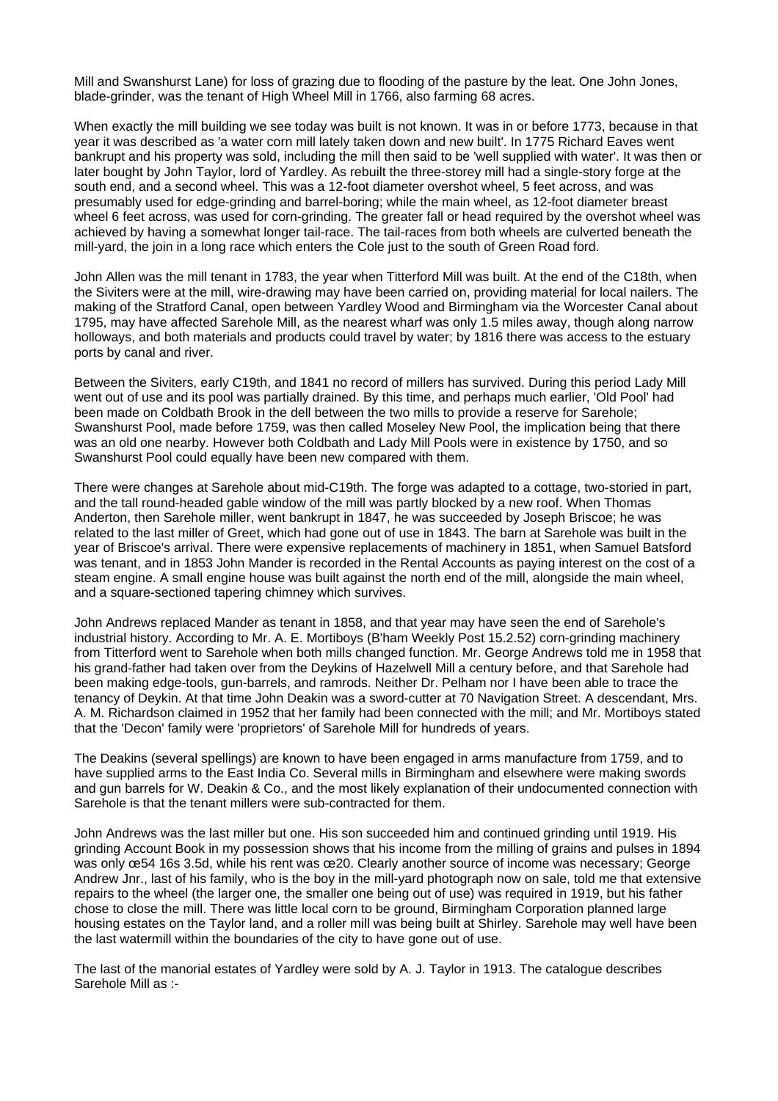Mill and Swanshurst Lane) for loss of grazing due to flooding of the pasture by the leat. One John Jones, blade-grinder, was the tenant of High Wheel Mill in 1766, also farming 68 acres.

When exactly the mill building we see today was built is not known. It was in or before 1773, because in that year it was described as 'a water corn mill lately taken down and new built'. In 1775 Richard Eaves went bankrupt and his property was sold, including the mill then said to be 'well supplied with water'. It was then or later bought by John Taylor, lord of Yardley. As rebuilt the three-storey mill had a single-story forge at the south end, and a second wheel. This was a 12-foot diameter overshot wheel, 5 feet across, and was presumably used for edge-grinding and barrel-boring; while the main wheel, as 12-foot diameter breast wheel 6 feet across, was used for corn-grinding. The greater fall or head required by the overshot wheel was achieved by having a somewhat longer tail-race. The tail-races from both wheels are culverted beneath the mill-yard, the join in a long race which enters the Cole just to the south of Green Road ford.

John Allen was the mill tenant in 1783, the year when Titterford Mill was built. At the end of the C18th, when the Siviters were at the mill, wire-drawing may have been carried on, providing material for local nailers. The making of the Stratford Canal, open between Yardley Wood and Birmingham via the Worcester Canal about 1795, may have affected Sarehole Mill, as the nearest wharf was only 1.5 miles away, though along narrow holloways, and both materials and products could travel by water; by 1816 there was access to the estuary ports by canal and river.

Between the Siviters, early C19th, and 1841 no record of millers has survived. During this period Lady Mill went out of use and its pool was partially drained. By this time, and perhaps much earlier, 'Old Pool' had been made on Coldbath Brook in the dell between the two mills to provide a reserve for Sarehole; Swanshurst Pool, made before 1759, was then called Moseley New Pool, the implication being that there was an old one nearby. However both Coldbath and Lady Mill Pools were in existence by 1750, and so Swanshurst Pool could equally have been new compared with them.

There were changes at Sarehole about mid-C19th. The forge was adapted to a cottage, two-storied in part, and the tall round-headed gable window of the mill was partly blocked by a new roof. When Thomas Anderton, then Sarehole miller, went bankrupt in 1847, he was succeeded by Joseph Briscoe; he was related to the last miller of Greet, which had gone out of use in 1843. The barn at Sarehole was built in the year of Briscoe's arrival. There were expensive replacements of machinery in 1851, when Samuel Batsford was tenant, and in 1853 John Mander is recorded in the Rental Accounts as paying interest on the cost of a steam engine. A small engine house was built against the north end of the mill, alongside the main wheel, and a square-sectioned tapering chimney which survives.

John Andrews replaced Mander as tenant in 1858, and that year may have seen the end of Sarehole's industrial history. According to Mr. A. E. Mortiboys (B'ham Weekly Post 15.2.52) corn-grinding machinery from Titterford went to Sarehole when both mills changed function. Mr. George Andrews told me in 1958 that his grand-father had taken over from the Deykins of Hazelwell Mill a century before, and that Sarehole had been making edge-tools, gun-barrels, and ramrods. Neither Dr. Pelham nor I have been able to trace the tenancy of Deykin. At that time John Deakin was a sword-cutter at 70 Navigation Street. A descendant, Mrs. A. M. Richardson claimed in 1952 that her family had been connected with the mill; and Mr. Mortiboys stated that the 'Decon' family were 'proprietors' of Sarehole Mill for hundreds of years.

The Deakins (several spellings) are known to have been engaged in arms manufacture from 1759, and to have supplied arms to the East India Co. Several mills in Birmingham and elsewhere were making swords and gun barrels for W. Deakin & Co., and the most likely explanation of their undocumented connection with Sarehole is that the tenant millers were sub-contracted for them.

John Andrews was the last miller but one. His son succeeded him and continued grinding until 1919. His grinding Account Book in my possession shows that his income from the milling of grains and pulses in 1894 was only œ54 16s 3.5d, while his rent was œ20. Clearly another source of income was necessary; George Andrew Jnr., last of his family, who is the boy in the mill-yard photograph now on sale, told me that extensive repairs to the wheel (the larger one, the smaller one being out of use) was required in 1919, but his father chose to close the mill. There was little local corn to be ground, Birmingham Corporation planned large housing estates on the Taylor land, and a roller mill was being built at Shirley. Sarehole may well have been the last watermill within the boundaries of the city to have gone out of use.

The last of the manorial estates of Yardley were sold by A. J. Taylor in 1913. The catalogue describes Sarehole Mill as :-